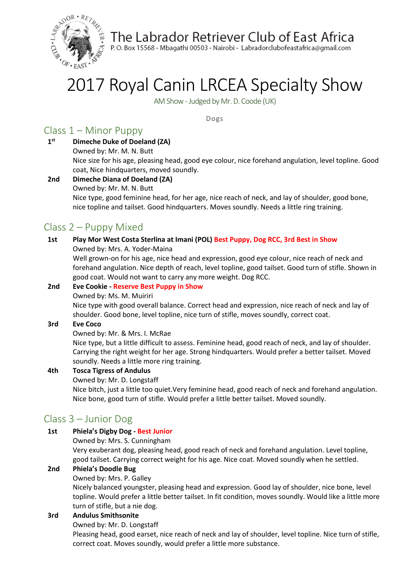

The Labrador Retriever Club of East Africa

P.O. Box 15568 - Mbagathi 00503 - Nairobi - Labradorclubofeastafrica@gmail.com

# 2017 Royal Canin LRCEA Specialty Show

AM Show -Judged by Mr. D. Coode (UK)

Dogs

## Class 1 – Minor Puppy

- **1 st Dimeche Duke of Doeland (ZA)** Owned by: Mr. M. N. Butt Nice size for his age, pleasing head, good eye colour, nice forehand angulation, level topline. Good coat, Nice hindquarters, moved soundly.
- **2nd Dimeche Diana of Doeland (ZA)** Owned by: Mr. M. N. Butt Nice type, good feminine head, for her age, nice reach of neck, and lay of shoulder, good bone, nice topline and tailset. Good hindquarters. Moves soundly. Needs a little ring training.

## Class 2 – Puppy Mixed

#### **1st Play Mor West Costa Sterlina at Imani (POL) Best Puppy, Dog RCC, 3rd Best in Show**

Owned by: Mrs. A. Yoder-Maina

Well grown-on for his age, nice head and expression, good eye colour, nice reach of neck and forehand angulation. Nice depth of reach, level topline, good tailset. Good turn of stifle. Shown in good coat. Would not want to carry any more weight. Dog RCC.

## **2nd Eve Cookie - Reserve Best Puppy in Show**

Owned by: Ms. M. Muiriri

Nice type with good overall balance. Correct head and expression, nice reach of neck and lay of shoulder. Good bone, level topline, nice turn of stifle, moves soundly, correct coat.

#### **3rd Eve Coco**

Owned by: Mr. & Mrs. I. McRae

Nice type, but a little difficult to assess. Feminine head, good reach of neck, and lay of shoulder. Carrying the right weight for her age. Strong hindquarters. Would prefer a better tailset. Moved soundly. Needs a little more ring training.

## **4th Tosca Tigress of Andulus**

Owned by: Mr. D. Longstaff

Nice bitch, just a little too quiet.Very feminine head, good reach of neck and forehand angulation. Nice bone, good turn of stifle. Would prefer a little better tailset. Moved soundly.

## Class 3 – Junior Dog

#### **1st Phiela's Digby Dog - Best Junior**

Owned by: Mrs. S. Cunningham

Very exuberant dog, pleasing head, good reach of neck and forehand angulation. Level topline, good tailset. Carrying correct weight for his age. Nice coat. Moved soundly when he settled.

## **2nd Phiela's Doodle Bug**

Owned by: Mrs. P. Galley

Nicely balanced youngster, pleasing head and expression. Good lay of shoulder, nice bone, level topline. Would prefer a little better tailset. In fit condition, moves soundly. Would like a little more turn of stifle, but a nie dog.

#### **3rd Andulus Smithsonite**

#### Owned by: Mr. D. Longstaff

Pleasing head, good earset, nice reach of neck and lay of shoulder, level topline. Nice turn of stifle, correct coat. Moves soundly, would prefer a little more substance.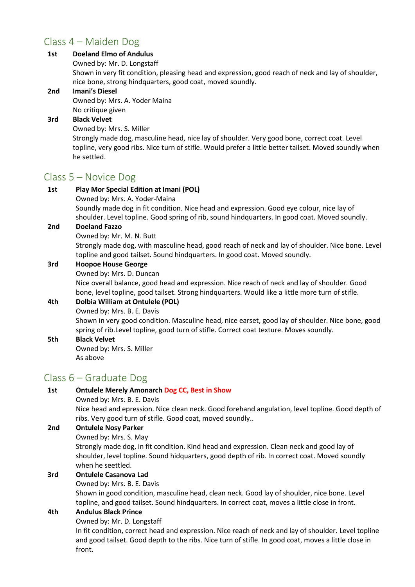## Class 4 – Maiden Dog

## **1st Doeland Elmo of Andulus**

Owned by: Mr. D. Longstaff

Shown in very fit condition, pleasing head and expression, good reach of neck and lay of shoulder, nice bone, strong hindquarters, good coat, moved soundly.

#### **2nd Imani's Diesel**

Owned by: Mrs. A. Yoder Maina No critique given

## **3rd Black Velvet**

Owned by: Mrs. S. Miller

Strongly made dog, masculine head, nice lay of shoulder. Very good bone, correct coat. Level topline, very good ribs. Nice turn of stifle. Would prefer a little better tailset. Moved soundly when he settled.

## Class 5 – Novice Dog

| 1st | Play Mor Special Edition at Imani (POL)<br>Owned by: Mrs. A. Yoder-Maina                                                                                                                    |
|-----|---------------------------------------------------------------------------------------------------------------------------------------------------------------------------------------------|
|     | Soundly made dog in fit condition. Nice head and expression. Good eye colour, nice lay of<br>shoulder. Level topline. Good spring of rib, sound hindquarters. In good coat. Moved soundly.  |
| 2nd | <b>Doeland Fazzo</b>                                                                                                                                                                        |
|     | Owned by: Mr. M. N. Butt                                                                                                                                                                    |
|     | Strongly made dog, with masculine head, good reach of neck and lay of shoulder. Nice bone. Level<br>topline and good tailset. Sound hindquarters. In good coat. Moved soundly.              |
| 3rd | <b>Hoopoe House George</b>                                                                                                                                                                  |
|     | Owned by: Mrs. D. Duncan                                                                                                                                                                    |
|     | Nice overall balance, good head and expression. Nice reach of neck and lay of shoulder. Good                                                                                                |
|     | bone, level topline, good tailset. Strong hindquarters. Would like a little more turn of stifle.                                                                                            |
| 4th | Dolbia William at Ontulele (POL)                                                                                                                                                            |
|     | Owned by: Mrs. B. E. Davis                                                                                                                                                                  |
|     | Shown in very good condition. Masculine head, nice earset, good lay of shoulder. Nice bone, good<br>spring of rib. Level topline, good turn of stifle. Correct coat texture. Moves soundly. |
| 5th | <b>Black Velvet</b>                                                                                                                                                                         |
|     | Owned by: Mrs. S. Miller                                                                                                                                                                    |
|     | As above                                                                                                                                                                                    |
|     |                                                                                                                                                                                             |

## Class 6 – Graduate Dog

#### **1st Ontulele Merely Amonarch Dog CC, Best in Show**

Owned by: Mrs. B. E. Davis

Nice head and epression. Nice clean neck. Good forehand angulation, level topline. Good depth of ribs. Very good turn of stifle. Good coat, moved soundly..

#### **2nd Ontulele Nosy Parker**

Owned by: Mrs. S. May

Strongly made dog, in fit condition. Kind head and expression. Clean neck and good lay of shoulder, level topline. Sound hidquarters, good depth of rib. In correct coat. Moved soundly when he seettled.

## **3rd Ontulele Casanova Lad**

Owned by: Mrs. B. E. Davis Shown in good condition, masculine head, clean neck. Good lay of shoulder, nice bone. Level topline, and good tailset. Sound hindquarters. In correct coat, moves a little close in front.

## **4th Andulus Black Prince**

Owned by: Mr. D. Longstaff

In fit condition, correct head and expression. Nice reach of neck and lay of shoulder. Level topline and good tailset. Good depth to the ribs. Nice turn of stifle. In good coat, moves a little close in front.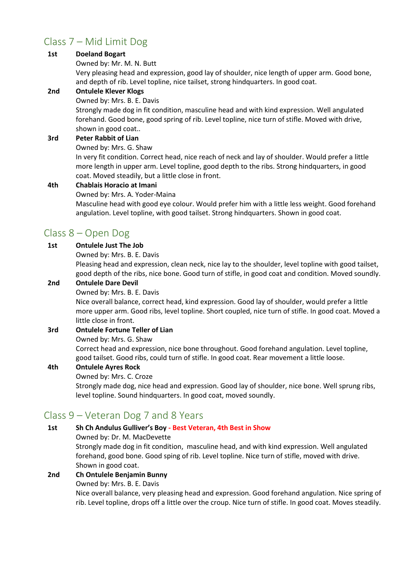## Class 7 – Mid Limit Dog

#### **1st Doeland Bogart**

#### Owned by: Mr. M. N. Butt

Very pleasing head and expression, good lay of shoulder, nice length of upper arm. Good bone, and depth of rib. Level topline, nice tailset, strong hindquarters. In good coat.

#### **2nd Ontulele Klever Klogs**

#### Owned by: Mrs. B. E. Davis

Strongly made dog in fit condition, masculine head and with kind expression. Well angulated forehand. Good bone, good spring of rib. Level topline, nice turn of stifle. Moved with drive, shown in good coat..

#### **3rd Peter Rabbit of Lian**

Owned by: Mrs. G. Shaw

In very fit condition. Correct head, nice reach of neck and lay of shoulder. Would prefer a little more length in upper arm. Level topline, good depth to the ribs. Strong hindquarters, in good coat. Moved steadily, but a little close in front.

#### **4th Chablais Horacio at Imani**

Owned by: Mrs. A. Yoder-Maina

Masculine head with good eye colour. Would prefer him with a little less weight. Good forehand angulation. Level topline, with good tailset. Strong hindquarters. Shown in good coat.

## Class 8 – Open Dog

#### **1st Ontulele Just The Job**

Owned by: Mrs. B. E. Davis

Pleasing head and expression, clean neck, nice lay to the shoulder, level topline with good tailset, good depth of the ribs, nice bone. Good turn of stifle, in good coat and condition. Moved soundly.

#### **2nd Ontulele Dare Devil**

Owned by: Mrs. B. E. Davis

Nice overall balance, correct head, kind expression. Good lay of shoulder, would prefer a little more upper arm. Good ribs, level topline. Short coupled, nice turn of stifle. In good coat. Moved a little close in front.

#### **3rd Ontulele Fortune Teller of Lian**

#### Owned by: Mrs. G. Shaw

Correct head and expression, nice bone throughout. Good forehand angulation. Level topline, good tailset. Good ribs, could turn of stifle. In good coat. Rear movement a little loose.

#### **4th Ontulele Ayres Rock**

#### Owned by: Mrs. C. Croze

Strongly made dog, nice head and expression. Good lay of shoulder, nice bone. Well sprung ribs, level topline. Sound hindquarters. In good coat, moved soundly.

## Class 9 – Veteran Dog 7 and 8 Years

#### **1st Sh Ch Andulus Gulliver's Boy - Best Veteran, 4th Best in Show**

Owned by: Dr. M. MacDevette

Strongly made dog in fit condition, masculine head, and with kind expression. Well angulated forehand, good bone. Good sping of rib. Level topline. Nice turn of stifle, moved with drive. Shown in good coat.

#### **2nd Ch Ontulele Benjamin Bunny**

#### Owned by: Mrs. B. E. Davis

Nice overall balance, very pleasing head and expression. Good forehand angulation. Nice spring of rib. Level topline, drops off a little over the croup. Nice turn of stifle. In good coat. Moves steadily.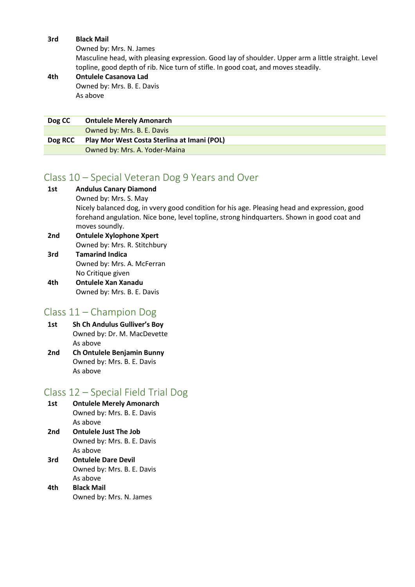#### **3rd Black Mail**

Owned by: Mrs. N. James

Masculine head, with pleasing expression. Good lay of shoulder. Upper arm a little straight. Level topline, good depth of rib. Nice turn of stifle. In good coat, and moves steadily.

#### **4th Ontulele Casanova Lad** Owned by: Mrs. B. E. Davis As above

| Dog CC  | <b>Ontulele Merely Amonarch</b>             |
|---------|---------------------------------------------|
|         | Owned by: Mrs. B. E. Davis                  |
| Dog RCC | Play Mor West Costa Sterlina at Imani (POL) |
|         | Owned by: Mrs. A. Yoder-Maina               |

## Class 10 – Special Veteran Dog 9 Years and Over

| 1st | <b>Andulus Canary Diamond</b>                                                                                |
|-----|--------------------------------------------------------------------------------------------------------------|
|     | Owned by: Mrs. S. May                                                                                        |
|     | Nicely balanced dog, in vvery good condition for his age. Pleasing head and expression, good                 |
|     | forehand angulation. Nice bone, level topline, strong hindquarters. Shown in good coat and<br>moves soundly. |
| 2nd | <b>Ontulele Xylophone Xpert</b>                                                                              |
|     | Owned by: Mrs. R. Stitchbury                                                                                 |
| 3rd | <b>Tamarind Indica</b>                                                                                       |
|     | Owned by: Mrs. A. McFerran                                                                                   |
|     | No Critique given                                                                                            |
| 4th | <b>Ontulele Xan Xanadu</b>                                                                                   |

Owned by: Mrs. B. E. Davis

## Class 11 – Champion Dog

- **1st Sh Ch Andulus Gulliver's Boy** Owned by: Dr. M. MacDevette As above
- **2nd Ch Ontulele Benjamin Bunny** Owned by: Mrs. B. E. Davis As above

## Class 12 – Special Field Trial Dog

- **1st Ontulele Merely Amonarch** Owned by: Mrs. B. E. Davis As above **2nd Ontulele Just The Job**
- Owned by: Mrs. B. E. Davis As above
- **3rd Ontulele Dare Devil** Owned by: Mrs. B. E. Davis As above
- **4th Black Mail** Owned by: Mrs. N. James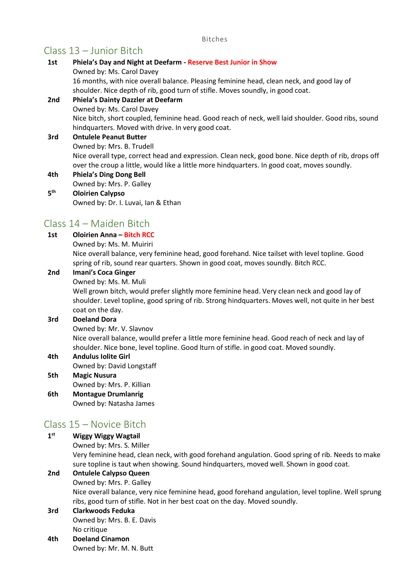#### Bitches

## Class 13 – Junior Bitch

| 1st             | Phiela's Day and Night at Deefarm - Reserve Best Junior in Show<br>Owned by: Ms. Carol Davey                                                                                                        |
|-----------------|-----------------------------------------------------------------------------------------------------------------------------------------------------------------------------------------------------|
|                 | 16 months, with nice overall balance. Pleasing feminine head, clean neck, and good lay of<br>shoulder. Nice depth of rib, good turn of stifle. Moves soundly, in good coat.                         |
| 2nd             | <b>Phiela's Dainty Dazzler at Deefarm</b>                                                                                                                                                           |
|                 | Owned by: Ms. Carol Davey                                                                                                                                                                           |
|                 | Nice bitch, short coupled, feminine head. Good reach of neck, well laid shoulder. Good ribs, sound<br>hindquarters. Moved with drive. In very good coat.                                            |
| 3rd             | <b>Ontulele Peanut Butter</b>                                                                                                                                                                       |
|                 | Owned by: Mrs. B. Trudell                                                                                                                                                                           |
|                 | Nice overall type, correct head and expression. Clean neck, good bone. Nice depth of rib, drops off<br>over the croup a little, would like a little more hindquarters. In good coat, moves soundly. |
| 4th             | <b>Phiela's Ding Dong Bell</b>                                                                                                                                                                      |
|                 | Owned by: Mrs. P. Galley                                                                                                                                                                            |
| 5 <sup>th</sup> | <b>Oloirien Calypso</b>                                                                                                                                                                             |
|                 | Owned by: Dr. I. Luvai, Ian & Ethan                                                                                                                                                                 |
|                 |                                                                                                                                                                                                     |

## Class 14 – Maiden Bitch

#### **1st Oloirien Anna – Bitch RCC**

Owned by: Ms. M. Muiriri

Nice overall balance, very feminine head, good forehand. Nice tailset with level topline. Good spring of rib, sound rear quarters. Shown in good coat, moves soundly. Bitch RCC.

#### **2nd Imani's Coca Ginger**

Owned by: Ms. M. Muli

Well grown bitch, would prefer slightly more feminine head. Very clean neck and good lay of shoulder. Level topline, good spring of rib. Strong hindquarters. Moves well, not quite in her best coat on the day.

#### **3rd Doeland Dora**

Owned by: Mr. V. Slavnov

Nice overall balance, woulld prefer a little more feminine head. Good reach of neck and lay of shoulder. Nice bone, level topline. Good lturn of stifle. in good coat. Moved soundly.

## **4th Andulus Iolite Girl** Owned by: David Longstaff

- **5th Magic Nusura** Owned by: Mrs. P. Killian
- **6th Montague Drumlanrig** Owned by: Natasha James

## Class 15 – Novice Bitch

**1 st Wiggy Wiggy Wagtail** Owned by: Mrs. S. Miller Very feminine head, clean neck, with good forehand angulation. Good spring of rib. Needs to make sure topline is taut when showing. Sound hindquarters, moved well. Shown in good coat. **2nd Ontulele Calypso Queen** Owned by: Mrs. P. Galley Nice overall balance, very nice feminine head, good forehand angulation, level topline. Well sprung ribs, good turn of stifle. Not in her best coat on the day. Moved soundly. **3rd Clarkwoods Feduka**

## Owned by: Mrs. B. E. Davis No critique

**4th Doeland Cinamon** Owned by: Mr. M. N. Butt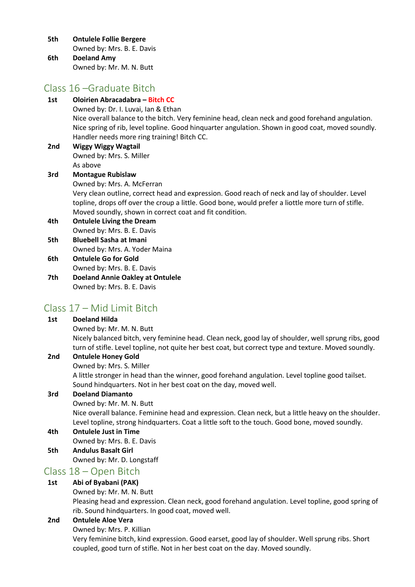**5th Ontulele Follie Bergere**

Owned by: Mrs. B. E. Davis

**6th Doeland Amy** Owned by: Mr. M. N. Butt

## Class 16 –Graduate Bitch

| 1st | Oloirien Abracadabra - Bitch CC                                                                    |
|-----|----------------------------------------------------------------------------------------------------|
|     | Owned by: Dr. I. Luvai, Ian & Ethan                                                                |
|     | Nice overall balance to the bitch. Very feminine head, clean neck and good forehand angulation.    |
|     | Nice spring of rib, level topline. Good hinquarter angulation. Shown in good coat, moved soundly.  |
|     | Handler needs more ring training! Bitch CC.                                                        |
| 2nd | <b>Wiggy Wiggy Wagtail</b>                                                                         |
|     | Owned by: Mrs. S. Miller                                                                           |
|     | As above                                                                                           |
| 3rd | <b>Montague Rubislaw</b>                                                                           |
|     | Owned by: Mrs. A. McFerran                                                                         |
|     | Very clean outline, correct head and expression. Good reach of neck and lay of shoulder. Level     |
|     | topline, drops off over the croup a little. Good bone, would prefer a liottle more turn of stifle. |
|     | Moved soundly, shown in correct coat and fit condition.                                            |
| 4th | <b>Ontulele Living the Dream</b>                                                                   |
|     | Owned by: Mrs. B. E. Davis                                                                         |
| 5th | <b>Bluebell Sasha at Imani</b>                                                                     |
|     | Owned by: Mrs. A. Yoder Maina                                                                      |
| 6th | <b>Ontulele Go for Gold</b>                                                                        |
|     | Owned by: Mrs. B. E. Davis                                                                         |
| 7th | <b>Doeland Annie Oakley at Ontulele</b>                                                            |
|     | Owned by: Mrs. B. E. Davis                                                                         |
|     |                                                                                                    |

## Class 17 – Mid Limit Bitch

## **1st Doeland Hilda**

Owned by: Mr. M. N. Butt

Nicely balanced bitch, very feminine head. Clean neck, good lay of shoulder, well sprung ribs, good turn of stifle. Level topline, not quite her best coat, but correct type and texture. Moved soundly.

## **2nd Ontulele Honey Gold**

Owned by: Mrs. S. Miller

A little stronger in head than the winner, good forehand angulation. Level topline good tailset. Sound hindquarters. Not in her best coat on the day, moved well.

## **3rd Doeland Diamanto**

Owned by: Mr. M. N. Butt Nice overall balance. Feminine head and expression. Clean neck, but a little heavy on the shoulder. Level topline, strong hindquarters. Coat a little soft to the touch. Good bone, moved soundly.

## **4th Ontulele Just in Time**

- Owned by: Mrs. B. E. Davis
- **5th Andulus Basalt Girl** Owned by: Mr. D. Longstaff

## Class 18 – Open Bitch

## **1st Abi of Byabani (PAK)**

Owned by: Mr. M. N. Butt

Pleasing head and expression. Clean neck, good forehand angulation. Level topline, good spring of rib. Sound hindquarters. In good coat, moved well.

## **2nd Ontulele Aloe Vera**

Owned by: Mrs. P. Killian

Very feminine bitch, kind expression. Good earset, good lay of shoulder. Well sprung ribs. Short coupled, good turn of stifle. Not in her best coat on the day. Moved soundly.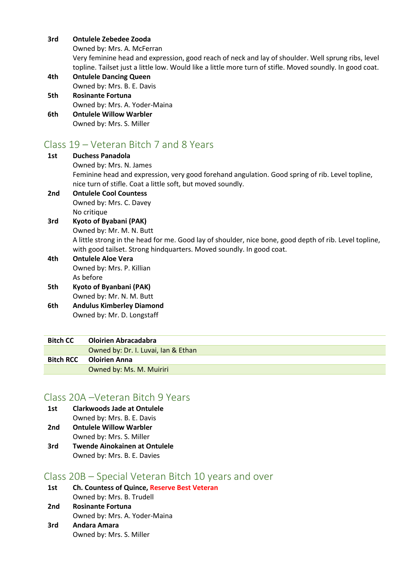#### **3rd Ontulele Zebedee Zooda**

Owned by: Mrs. A. McFerran

Very feminine head and expression, good reach of neck and lay of shoulder. Well sprung ribs, level topline. Tailset just a little low. Would like a little more turn of stifle. Moved soundly. In good coat.

- **4th Ontulele Dancing Queen** Owned by: Mrs. B. E. Davis
- **5th Rosinante Fortuna** Owned by: Mrs. A. Yoder-Maina

#### **6th Ontulele Willow Warbler** Owned by: Mrs. S. Miller

## Class 19 – Veteran Bitch 7 and 8 Years

#### **1st Duchess Panadola** Owned by: Mrs. N. James Feminine head and expression, very good forehand angulation. Good spring of rib. Level topline, nice turn of stifle. Coat a little soft, but moved soundly. **2nd Ontulele Cool Countess**

Owned by: Mrs. C. Davey No critique

#### **3rd Kyoto of Byabani (PAK)** Owned by: Mr. M. N. Butt A little strong in the head for me. Good lay of shoulder, nice bone, good depth of rib. Level topline, with good tailset. Strong hindquarters. Moved soundly. In good coat.

#### **4th Ontulele Aloe Vera** Owned by: Mrs. P. Killian As before **5th Kyoto of Byanbani (PAK)**

Owned by: Mr. N. M. Butt

**6th Andulus Kimberley Diamond** Owned by: Mr. D. Longstaff

## **Bitch CC Oloirien Abracadabra**

| Owned by: Dr. I. Luvai, Ian & Ethan |
|-------------------------------------|
| <b>Bitch RCC</b> Oloirien Anna      |
| Owned by: Ms. M. Muiriri            |
|                                     |

## Class 20A –Veteran Bitch 9 Years

- **1st Clarkwoods Jade at Ontulele** Owned by: Mrs. B. E. Davis
- **2nd Ontulele Willow Warbler**
- Owned by: Mrs. S. Miller
- **3rd Twende Ainokainen at Ontulele** Owned by: Mrs. B. E. Davies

## Class 20B – Special Veteran Bitch 10 years and over

- **1st Ch. Countess of Quince, Reserve Best Veteran** Owned by: Mrs. B. Trudell **2nd Rosinante Fortuna**
- Owned by: Mrs. A. Yoder-Maina
- **3rd Andara Amara** Owned by: Mrs. S. Miller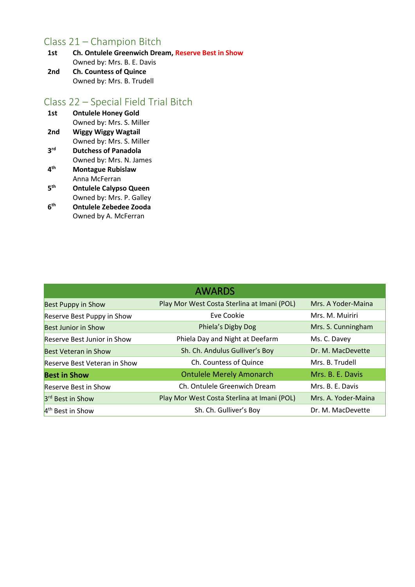## Class 21 – Champion Bitch<br>
1st Ch. Ontulele Greenwich Dre

**1st Ch. Ontulele Greenwich Dream, Reserve Best in Show** Owned by: Mrs. B. E. Davis **2nd Ch. Countess of Quince** Owned by: Mrs. B. Trudell

## Class 22 – Special Field Trial Bitch

| 1st             | <b>Ontulele Honey Gold</b>  |  |
|-----------------|-----------------------------|--|
|                 | Owned by: Mrs. S. Miller    |  |
| 2 <sub>nd</sub> | <b>Wiggy Wiggy Wagtail</b>  |  |
|                 | Owned by: Mrs. S. Miller    |  |
| <b>2rd</b>      | <b>Dutchess of Panadola</b> |  |
|                 | Owned by: Mrs. N. James     |  |
| 4 <sup>th</sup> | <b>Montague Rubislaw</b>    |  |

- Anna McFerran **5 th Ontulele Calypso Queen**
- Owned by: Mrs. P. Galley **6**
- **th Ontulele Zebedee Zooda** Owned by A. McFerran

|                                     | <b>AWARDS</b>                               |                     |
|-------------------------------------|---------------------------------------------|---------------------|
| <b>Best Puppy in Show</b>           | Play Mor West Costa Sterlina at Imani (POL) | Mrs. A Yoder-Maina  |
| Reserve Best Puppy in Show          | Eve Cookie                                  | Mrs. M. Muiriri     |
| <b>Best Junior in Show</b>          | Phiela's Digby Dog                          | Mrs. S. Cunningham  |
| <b>Reserve Best Junior in Show</b>  | Phiela Day and Night at Deefarm             | Ms. C. Davey        |
| <b>Best Veteran in Show</b>         | Sh. Ch. Andulus Gulliver's Boy              | Dr. M. MacDevette   |
| <b>Reserve Best Veteran in Show</b> | Ch. Countess of Quince                      | Mrs. B. Trudell     |
| <b>Best in Show</b>                 | <b>Ontulele Merely Amonarch</b>             | Mrs. B. E. Davis    |
| <b>Reserve Best in Show</b>         | Ch. Ontulele Greenwich Dream                | Mrs. B. E. Davis    |
| 3rd Best in Show                    | Play Mor West Costa Sterlina at Imani (POL) | Mrs. A. Yoder-Maina |
| 4 <sup>th</sup> Best in Show        | Sh. Ch. Gulliver's Boy                      | Dr. M. MacDevette   |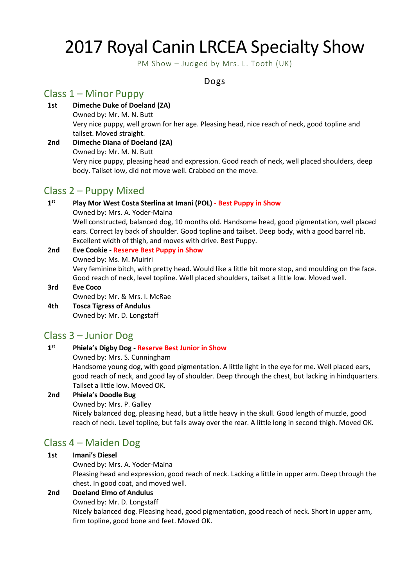## 2017 Royal Canin LRCEA Specialty Show

PM Show – Judged by Mrs. L. Tooth (UK)

## Dogs

## Class 1 – Minor Puppy

**1st Dimeche Duke of Doeland (ZA)**

Owned by: Mr. M. N. Butt Very nice puppy, well grown for her age. Pleasing head, nice reach of neck, good topline and tailset. Moved straight.

**2nd Dimeche Diana of Doeland (ZA)** Owned by: Mr. M. N. Butt Very nice puppy, pleasing head and expression. Good reach of neck, well placed shoulders, deep body. Tailset low, did not move well. Crabbed on the move.

## Class 2 – Puppy Mixed

**1 st Play Mor West Costa Sterlina at Imani (POL) - Best Puppy in Show** Owned by: Mrs. A. Yoder-Maina Well constructed, balanced dog, 10 months old. Handsome head, good pigmentation, well placed ears. Correct lay back of shoulder. Good topline and tailset. Deep body, with a good barrel rib. Excellent width of thigh, and moves with drive. Best Puppy.

## **2nd Eve Cookie - Reserve Best Puppy in Show** Owned by: Ms. M. Muiriri

Very feminine bitch, with pretty head. Would like a little bit more stop, and moulding on the face. Good reach of neck, level topline. Well placed shoulders, tailset a little low. Moved well.

#### **3rd Eve Coco** Owned by: Mr. & Mrs. I. McRae

**4th Tosca Tigress of Andulus** Owned by: Mr. D. Longstaff

## Class 3 – Junior Dog

#### **1 st Phiela's Digby Dog - Reserve Best Junior in Show**

Owned by: Mrs. S. Cunningham

Handsome young dog, with good pigmentation. A little light in the eye for me. Well placed ears, good reach of neck, and good lay of shoulder. Deep through the chest, but lacking in hindquarters. Tailset a little low. Moved OK.

## **2nd Phiela's Doodle Bug**

Owned by: Mrs. P. Galley

Nicely balanced dog, pleasing head, but a little heavy in the skull. Good length of muzzle, good reach of neck. Level topline, but falls away over the rear. A little long in second thigh. Moved OK.

## Class 4 – Maiden Dog

## **1st Imani's Diesel**

Owned by: Mrs. A. Yoder-Maina

Pleasing head and expression, good reach of neck. Lacking a little in upper arm. Deep through the chest. In good coat, and moved well.

## **2nd Doeland Elmo of Andulus**

Owned by: Mr. D. Longstaff

Nicely balanced dog. Pleasing head, good pigmentation, good reach of neck. Short in upper arm, firm topline, good bone and feet. Moved OK.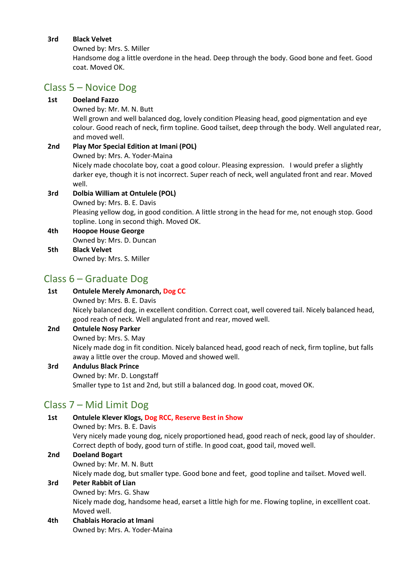#### **3rd Black Velvet**

Owned by: Mrs. S. Miller

Handsome dog a little overdone in the head. Deep through the body. Good bone and feet. Good coat. Moved OK.

## Class 5 – Novice Dog

#### **1st Doeland Fazzo**

Owned by: Mr. M. N. Butt

Well grown and well balanced dog, lovely condition Pleasing head, good pigmentation and eye colour. Good reach of neck, firm topline. Good tailset, deep through the body. Well angulated rear, and moved well.

## **2nd Play Mor Special Edition at Imani (POL)** Owned by: Mrs. A. Yoder-Maina

Nicely made chocolate boy, coat a good colour. Pleasing expression. I would prefer a slightly darker eye, though it is not incorrect. Super reach of neck, well angulated front and rear. Moved well.

## **3rd Dolbia William at Ontulele (POL)**

Owned by: Mrs. B. E. Davis Pleasing yellow dog, in good condition. A little strong in the head for me, not enough stop. Good topline. Long in second thigh. Moved OK.

#### **4th Hoopoe House George** Owned by: Mrs. D. Duncan **5th Black Velvet**

Owned by: Mrs. S. Miller

## Class 6 – Graduate Dog

## **1st Ontulele Merely Amonarch, Dog CC** Owned by: Mrs. B. E. Davis Nicely balanced dog, in excellent condition. Correct coat, well covered tail. Nicely balanced head, good reach of neck. Well angulated front and rear, moved well. **2nd Ontulele Nosy Parker**

#### Owned by: Mrs. S. May Nicely made dog in fit condition. Nicely balanced head, good reach of neck, firm topline, but falls away a little over the croup. Moved and showed well.

## **3rd Andulus Black Prince** Owned by: Mr. D. Longstaff Smaller type to 1st and 2nd, but still a balanced dog. In good coat, moved OK.

## Class 7 – Mid Limit Dog

| 1st     | <b>Ontulele Klever Klogs, Dog RCC, Reserve Best in Show</b>                                       |
|---------|---------------------------------------------------------------------------------------------------|
|         | Owned by: Mrs. B. E. Davis                                                                        |
|         | Very nicely made young dog, nicely proportioned head, good reach of neck, good lay of shoulder.   |
|         | Correct depth of body, good turn of stifle. In good coat, good tail, moved well.                  |
| 2nd     | <b>Doeland Bogart</b>                                                                             |
|         | Owned by: Mr. M. N. Butt                                                                          |
|         | Nicely made dog, but smaller type. Good bone and feet, good topline and tailset. Moved well.      |
| 3rd     | <b>Peter Rabbit of Lian</b>                                                                       |
|         | Owned by: Mrs. G. Shaw                                                                            |
|         | Nicely made dog, handsome head, earset a little high for me. Flowing topline, in excelllent coat. |
|         | Moved well.                                                                                       |
| $4 + h$ | Chablaic Uaracia at Imani                                                                         |

## **4th Chablais Horacio at Imani**

Owned by: Mrs. A. Yoder-Maina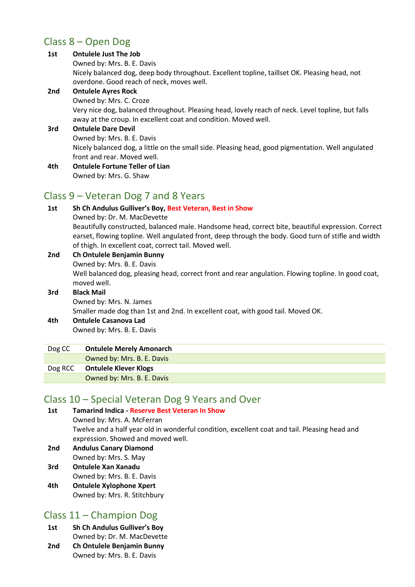## Class 8 – Open Dog

| 1st             | <b>Ontulele Just The Job</b>                                                                                                                                         |
|-----------------|----------------------------------------------------------------------------------------------------------------------------------------------------------------------|
|                 | Owned by: Mrs. B. E. Davis                                                                                                                                           |
|                 | Nicely balanced dog, deep body throughout. Excellent topline, taillset OK. Pleasing head, not<br>overdone. Good reach of neck, moves well.                           |
| 2nd             | <b>Ontulele Ayres Rock</b>                                                                                                                                           |
|                 | Owned by: Mrs. C. Croze                                                                                                                                              |
|                 | Very nice dog, balanced throughout. Pleasing head, lovely reach of neck. Level topline, but falls<br>away at the croup. In excellent coat and condition. Moved well. |
| 3rd             | <b>Ontulele Dare Devil</b>                                                                                                                                           |
|                 | Owned by: Mrs. B. E. Davis                                                                                                                                           |
|                 | Nicely balanced dog, a little on the small side. Pleasing head, good pigmentation. Well angulated                                                                    |
|                 | front and rear. Moved well.                                                                                                                                          |
| 4th             | <b>Ontulele Fortune Teller of Lian</b>                                                                                                                               |
|                 | Owned by: Mrs. G. Shaw                                                                                                                                               |
|                 | Class 9 – Veteran Dog 7 and 8 Years                                                                                                                                  |
| 1 <sub>ct</sub> | Sh Ch Andulus Gullivar's Roy, Rost Vatoran, Rost in Show                                                                                                             |

**1st Sh Ch Andulus Gulliver's Boy, Best Veteran, Best in Show**

Owned by: Dr. M. MacDevette Beautifully constructed, balanced male. Handsome head, correct bite, beautiful expression. Correct

earset, flowing topline. Well angulated front, deep through the body. Good turn of stifle and width of thigh. In excellent coat, correct tail. Moved well.

**2nd Ch Ontulele Benjamin Bunny** Owned by: Mrs. B. E. Davis Well balanced dog, pleasing head, correct front and rear angulation. Flowing topline. In good coat, moved well. **3rd Black Mail**

Owned by: Mrs. N. James Smaller made dog than 1st and 2nd. In excellent coat, with good tail. Moved OK. **4th Ontulele Casanova Lad**

Owned by: Mrs. B. E. Davis

| Dog CC  | <b>Ontulele Merely Amonarch</b> |
|---------|---------------------------------|
|         | Owned by: Mrs. B. E. Davis      |
| Dog RCC | <b>Ontulele Klever Klogs</b>    |
|         | Owned by: Mrs. B. E. Davis      |

## Class 10 – Special Veteran Dog 9 Years and Over

**1st Tamarind Indica - Reserve Best Veteran In Show** Owned by: Mrs. A. McFerran Twelve and a half year old in wonderful condition, excellent coat and tail. Pleasing head and expression. Showed and moved well. **2nd Andulus Canary Diamond**

Owned by: Mrs. S. May

- **3rd Ontulele Xan Xanadu** Owned by: Mrs. B. E. Davis
- **4th Ontulele Xylophone Xpert** Owned by: Mrs. R. Stitchbury

## Class 11 – Champion Dog

- **1st Sh Ch Andulus Gulliver's Boy** Owned by: Dr. M. MacDevette
- **2nd Ch Ontulele Benjamin Bunny** Owned by: Mrs. B. E. Davis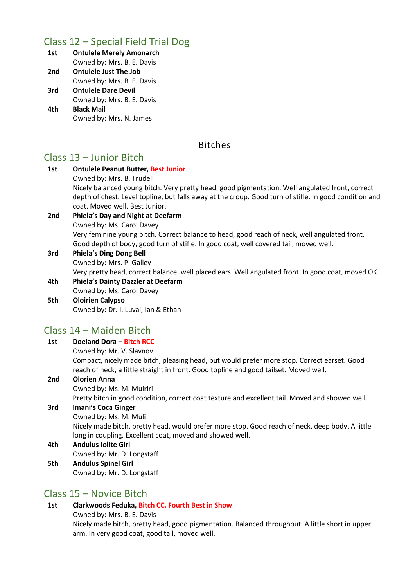## Class 12 – Special Field Trial Dog

- **1st Ontulele Merely Amonarch** Owned by: Mrs. B. E. Davis **2nd Ontulele Just The Job**
- Owned by: Mrs. B. E. Davis
- **3rd Ontulele Dare Devil** Owned by: Mrs. B. E. Davis
- **4th Black Mail** Owned by: Mrs. N. James

## Bitches

## Class 13 – Junior Bitch

- **1st Ontulele Peanut Butter, Best Junior** Owned by: Mrs. B. Trudell Nicely balanced young bitch. Very pretty head, good pigmentation. Well angulated front, correct depth of chest. Level topline, but falls away at the croup. Good turn of stifle. In good condition and coat. Moved well. Best Junior. **2nd Phiela's Day and Night at Deefarm**  Owned by: Ms. Carol Davey Very feminine young bitch. Correct balance to head, good reach of neck, well angulated front. Good depth of body, good turn of stifle. In good coat, well covered tail, moved well. **3rd Phiela's Ding Dong Bell** Owned by: Mrs. P. Galley Very pretty head, correct balance, well placed ears. Well angulated front. In good coat, moved OK. **4th Phiela's Dainty Dazzler at Deefarm**
- Owned by: Ms. Carol Davey **5th Oloirien Calypso**

Owned by: Dr. I. Luvai, Ian & Ethan

## Class 14 – Maiden Bitch

| 1st | Doeland Dora - Bitch RCC                                                                                                                                    |
|-----|-------------------------------------------------------------------------------------------------------------------------------------------------------------|
|     | Owned by: Mr. V. Slavnov                                                                                                                                    |
|     | Compact, nicely made bitch, pleasing head, but would prefer more stop. Correct earset. Good                                                                 |
|     | reach of neck, a little straight in front. Good topline and good tailset. Moved well.                                                                       |
| 2nd | <b>Olorien Anna</b>                                                                                                                                         |
|     | Owned by: Ms. M. Muiriri                                                                                                                                    |
|     | Pretty bitch in good condition, correct coat texture and excellent tail. Moved and showed well.                                                             |
| 3rd | <b>Imani's Coca Ginger</b>                                                                                                                                  |
|     | Owned by: Ms. M. Muli                                                                                                                                       |
|     | Nicely made bitch, pretty head, would prefer more stop. Good reach of neck, deep body. A little<br>long in coupling. Excellent coat, moved and showed well. |
| 4th | <b>Andulus Iolite Girl</b>                                                                                                                                  |
|     | Owned by: Mr. D. Longstaff                                                                                                                                  |
| 5th | <b>Andulus Spinel Girl</b>                                                                                                                                  |
|     | Owned by: Mr. D. Longstaff                                                                                                                                  |

## Class 15 – Novice Bitch

## **1st Clarkwoods Feduka, Bitch CC, Fourth Best in Show**

Owned by: Mrs. B. E. Davis

Nicely made bitch, pretty head, good pigmentation. Balanced throughout. A little short in upper arm. In very good coat, good tail, moved well.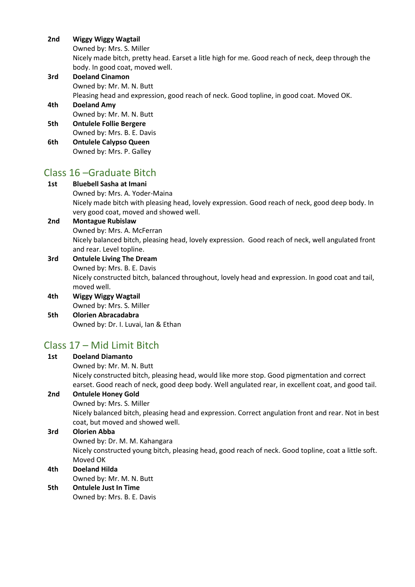#### **2nd Wiggy Wiggy Wagtail**

Owned by: Mrs. S. Miller

Nicely made bitch, pretty head. Earset a litle high for me. Good reach of neck, deep through the body. In good coat, moved well.

**3rd Doeland Cinamon** Owned by: Mr. M. N. Butt

Pleasing head and expression, good reach of neck. Good topline, in good coat. Moved OK.

## **4th Doeland Amy** Owned by: Mr. M. N. Butt

- **5th Ontulele Follie Bergere** Owned by: Mrs. B. E. Davis
- **6th Ontulele Calypso Queen** Owned by: Mrs. P. Galley

## Class 16 –Graduate Bitch

## **1st Bluebell Sasha at Imani**

Owned by: Mrs. A. Yoder-Maina

Nicely made bitch with pleasing head, lovely expression. Good reach of neck, good deep body. In very good coat, moved and showed well.

#### **2nd Montague Rubislaw** Owned by: Mrs. A. McFerran

Nicely balanced bitch, pleasing head, lovely expression. Good reach of neck, well angulated front and rear. Level topline.

#### **3rd Ontulele Living The Dream** Owned by: Mrs. B. E. Davis

Nicely constructed bitch, balanced throughout, lovely head and expression. In good coat and tail, moved well.

**4th Wiggy Wiggy Wagtail** Owned by: Mrs. S. Miller

#### **5th Olorien Abracadabra** Owned by: Dr. I. Luvai, Ian & Ethan

## Class 17 – Mid Limit Bitch

## **1st Doeland Diamanto**

Owned by: Mr. M. N. Butt

Nicely constructed bitch, pleasing head, would like more stop. Good pigmentation and correct earset. Good reach of neck, good deep body. Well angulated rear, in excellent coat, and good tail.

## **2nd Ontulele Honey Gold**

Owned by: Mrs. S. Miller Nicely balanced bitch, pleasing head and expression. Correct angulation front and rear. Not in best coat, but moved and showed well.

## **3rd Olorien Abba**

Owned by: Dr. M. M. Kahangara

Nicely constructed young bitch, pleasing head, good reach of neck. Good topline, coat a little soft. Moved OK

## **4th Doeland Hilda**

Owned by: Mr. M. N. Butt

## **5th Ontulele Just In Time**

Owned by: Mrs. B. E. Davis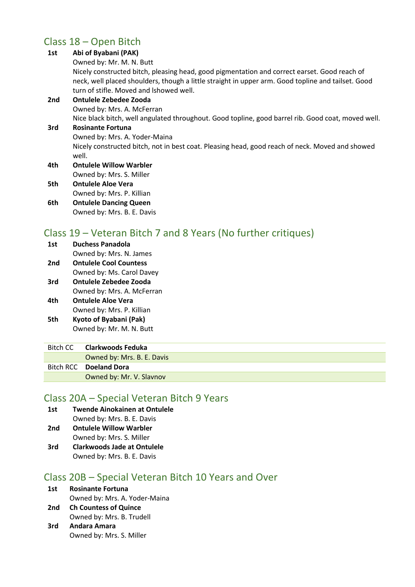## Class 18 – Open Bitch

#### **1st Abi of Byabani (PAK)** Owned by: Mr. M. N. Butt Nicely constructed bitch, pleasing head, good pigmentation and correct earset. Good reach of neck, well placed shoulders, though a little straight in upper arm. Good topline and tailset. Good turn of stifle. Moved and lshowed well. **2nd Ontulele Zebedee Zooda** Owned by: Mrs. A. McFerran Nice black bitch, well angulated throughout. Good topline, good barrel rib. Good coat, moved well. **3rd Rosinante Fortuna** Owned by: Mrs. A. Yoder-Maina Nicely constructed bitch, not in best coat. Pleasing head, good reach of neck. Moved and showed well. **4th Ontulele Willow Warbler** Owned by: Mrs. S. Miller **5th Ontulele Aloe Vera**

Owned by: Mrs. P. Killian **6th Ontulele Dancing Queen** Owned by: Mrs. B. E. Davis

## Class 19 – Veteran Bitch 7 and 8 Years (No further critiques)

| 1st | <b>Duchess Panadola</b>       |
|-----|-------------------------------|
|     | Owned by: Mrs. N. James       |
| 2nd | <b>Ontulele Cool Countess</b> |
|     | Owned by: Ms. Carol Davey     |
| 3rd | <b>Ontulele Zebedee Zooda</b> |
|     | Owned by: Mrs. A. McFerran    |
| 4th | <b>Ontulele Aloe Vera</b>     |

- Owned by: Mrs. P. Killian **5th Kyoto of Byabani (Pak)**
- Owned by: Mr. M. N. Butt

Γ

Γ

| Bitch CC | Clarkwoods Feduka          |
|----------|----------------------------|
|          | Owned by: Mrs. B. E. Davis |
|          | Bitch RCC Doeland Dora     |
|          | Owned by: Mr. V. Slavnov   |
|          |                            |

## Class 20A – Special Veteran Bitch 9 Years

- **1st Twende Ainokainen at Ontulele** Owned by: Mrs. B. E. Davis
- **2nd Ontulele Willow Warbler**
- Owned by: Mrs. S. Miller
- **3rd Clarkwoods Jade at Ontulele** Owned by: Mrs. B. E. Davis

## Class 20B – Special Veteran Bitch 10 Years and Over

## **1st Rosinante Fortuna**

- Owned by: Mrs. A. Yoder-Maina
- **2nd Ch Countess of Quince** Owned by: Mrs. B. Trudell
- **3rd Andara Amara** Owned by: Mrs. S. Miller